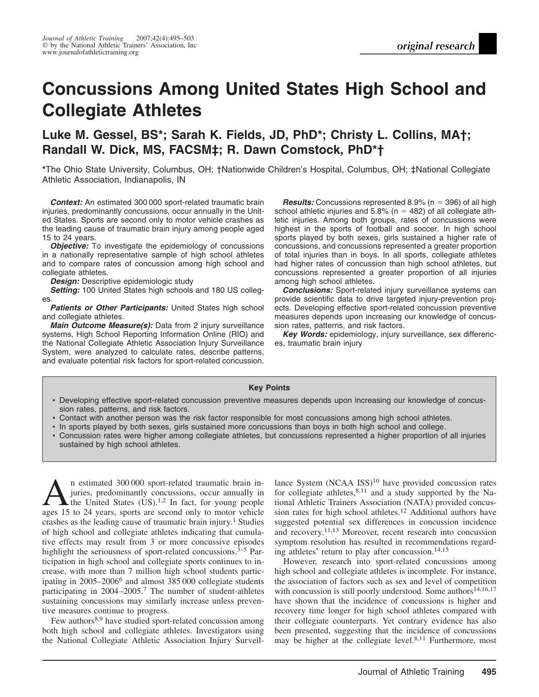# **Concussions Among United States High School and Collegiate Athletes**

# **Luke M. Gessel, BS\*; Sarah K. Fields, JD, PhD\*; Christy L. Collins, MA†; Randall W. Dick, MS, FACSM‡; R. Dawn Comstock, PhD\*†**

**\***The Ohio State University, Columbus, OH; †Nationwide Children's Hospital, Columbus, OH; ‡National Collegiate Athletic Association, Indianapolis, IN

*Context:* An estimated 300 000 sport-related traumatic brain injuries, predominantly concussions, occur annually in the United States. Sports are second only to motor vehicle crashes as the leading cause of traumatic brain injury among people aged 15 to 24 years.

*Objective:* To investigate the epidemiology of concussions in a nationally representative sample of high school athletes and to compare rates of concussion among high school and collegiate athletes.

**Design:** Descriptive epidemiologic study

*Setting:* 100 United States high schools and 180 US colleges.

*Patients or Other Participants:* United States high school and collegiate athletes.

*Main Outcome Measure(s):* Data from 2 injury surveillance systems, High School Reporting Information Online (RIO) and the National Collegiate Athletic Association Injury Surveillance System, were analyzed to calculate rates, describe patterns, and evaluate potential risk factors for sport-related concussion.

**Results:** Concussions represented 8.9% ( $n = 396$ ) of all high school athletic injuries and 5.8% ( $n = 482$ ) of all collegiate athletic injuries. Among both groups, rates of concussions were highest in the sports of football and soccer. In high school sports played by both sexes, girls sustained a higher rate of concussions, and concussions represented a greater proportion of total injuries than in boys. In all sports, collegiate athletes had higher rates of concussion than high school athletes, but concussions represented a greater proportion of all injuries among high school athletes.

*Conclusions:* Sport-related injury surveillance systems can provide scientific data to drive targeted injury-prevention projects. Developing effective sport-related concussion preventive measures depends upon increasing our knowledge of concussion rates, patterns, and risk factors.

*Key Words:* epidemiology, injury surveillance, sex differences, traumatic brain injury

#### **Key Points**

- Developing effective sport-related concussion preventive measures depends upon increasing our knowledge of concussion rates, patterns, and risk factors.
- Contact with another person was the risk factor responsible for most concussions among high school athletes.
- In sports played by both sexes, girls sustained more concussions than boys in both high school and college.
- Concussion rates were higher among collegiate athletes, but concussions represented a higher proportion of all injuries sustained by high school athletes.

An estimated 300 000 sport-related traumatic brain in-<br>juries, predominantly concussions, occur annually in<br>the United States  $(US)^{1,2}$  In fact, for young people<br>ages 15 to 24 years, sports are second only to motor vehic juries, predominantly concussions, occur annually in ages 15 to 24 years, sports are second only to motor vehicle crashes as the leading cause of traumatic brain injury.<sup>1</sup> Studies of high school and collegiate athletes indicating that cumulative effects may result from 3 or more concussive episodes highlight the seriousness of sport-related concussions. $3-5$  Participation in high school and collegiate sports continues to increase, with more than 7 million high school students participating in 2005–2006<sup>6</sup> and almost 385 000 collegiate students participating in 2004–2005.7 The number of student-athletes sustaining concussions may similarly increase unless preventive measures continue to progress.

Few authors<sup>8,9</sup> have studied sport-related concussion among both high school and collegiate athletes. Investigators using the National Collegiate Athletic Association Injury Surveillance System (NCAA ISS)<sup>10</sup> have provided concussion rates for collegiate athletes,  $8,11$  and a study supported by the National Athletic Trainers Association (NATA) provided concussion rates for high school athletes.12 Additional authors have suggested potential sex differences in concussion incidence and recovery.11,13 Moreover, recent research into concussion symptom resolution has resulted in recommendations regarding athletes' return to play after concussion.<sup>14,15</sup>

However, research into sport-related concussions among high school and collegiate athletes is incomplete. For instance, the association of factors such as sex and level of competition with concussion is still poorly understood. Some authors<sup>14,16,17</sup> have shown that the incidence of concussions is higher and recovery time longer for high school athletes compared with their collegiate counterparts. Yet contrary evidence has also been presented, suggesting that the incidence of concussions may be higher at the collegiate level.8,11 Furthermore, most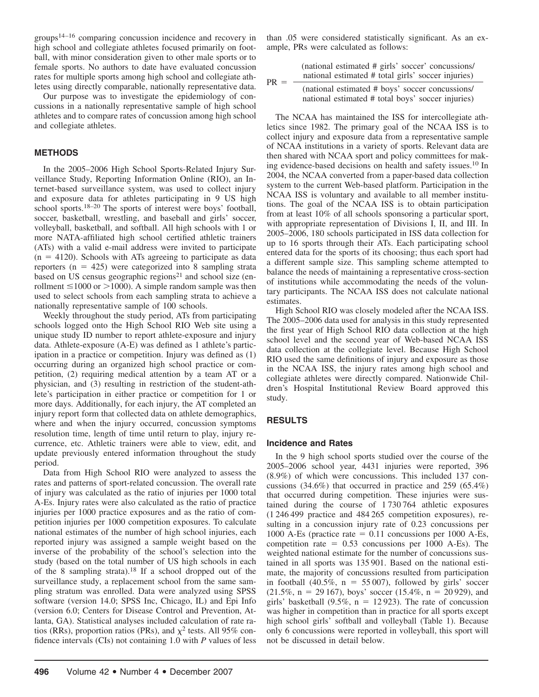groups14–16 comparing concussion incidence and recovery in high school and collegiate athletes focused primarily on football, with minor consideration given to other male sports or to female sports. No authors to date have evaluated concussion rates for multiple sports among high school and collegiate athletes using directly comparable, nationally representative data.

Our purpose was to investigate the epidemiology of concussions in a nationally representative sample of high school athletes and to compare rates of concussion among high school and collegiate athletes.

#### **METHODS**

In the 2005–2006 High School Sports-Related Injury Surveillance Study, Reporting Information Online (RIO), an Internet-based surveillance system, was used to collect injury and exposure data for athletes participating in 9 US high school sports.<sup>18–20</sup> The sports of interest were boys' football, soccer, basketball, wrestling, and baseball and girls' soccer, volleyball, basketball, and softball. All high schools with 1 or more NATA-affiliated high school certified athletic trainers (ATs) with a valid e-mail address were invited to participate  $(n = 4120)$ . Schools with ATs agreeing to participate as data reporters  $(n = 425)$  were categorized into 8 sampling strata based on US census geographic regions<sup>21</sup> and school size (enrollment  $\leq$ 1000 or  $>$ 1000). A simple random sample was then used to select schools from each sampling strata to achieve a nationally representative sample of 100 schools.

Weekly throughout the study period, ATs from participating schools logged onto the High School RIO Web site using a unique study ID number to report athlete-exposure and injury data. Athlete-exposure (A-E) was defined as 1 athlete's participation in a practice or competition. Injury was defined as (1) occurring during an organized high school practice or competition, (2) requiring medical attention by a team AT or a physician, and (3) resulting in restriction of the student-athlete's participation in either practice or competition for 1 or more days. Additionally, for each injury, the AT completed an injury report form that collected data on athlete demographics, where and when the injury occurred, concussion symptoms resolution time, length of time until return to play, injury recurrence, etc. Athletic trainers were able to view, edit, and update previously entered information throughout the study period.

Data from High School RIO were analyzed to assess the rates and patterns of sport-related concussion. The overall rate of injury was calculated as the ratio of injuries per 1000 total A-Es. Injury rates were also calculated as the ratio of practice injuries per 1000 practice exposures and as the ratio of competition injuries per 1000 competition exposures. To calculate national estimates of the number of high school injuries, each reported injury was assigned a sample weight based on the inverse of the probability of the school's selection into the study (based on the total number of US high schools in each of the 8 sampling strata).<sup>18</sup> If a school dropped out of the surveillance study, a replacement school from the same sampling stratum was enrolled. Data were analyzed using SPSS software (version 14.0; SPSS Inc, Chicago, IL) and Epi Info (version 6.0; Centers for Disease Control and Prevention, Atlanta, GA). Statistical analyses included calculation of rate ratios (RRs), proportion ratios (PRs), and  $\chi^2$  tests. All 95% confidence intervals (CIs) not containing 1.0 with *P* values of less

than .05 were considered statistically significant. As an example, PRs were calculated as follows:

| $PR =$ | (national estimated # girls' soccer' concussions/<br>national estimated # total girls' soccer injuries) |
|--------|---------------------------------------------------------------------------------------------------------|
|        | (national estimated # boys' soccer concussions/<br>national estimated # total boys' soccer injuries)    |

The NCAA has maintained the ISS for intercollegiate athletics since 1982. The primary goal of the NCAA ISS is to collect injury and exposure data from a representative sample of NCAA institutions in a variety of sports. Relevant data are then shared with NCAA sport and policy committees for making evidence-based decisions on health and safety issues.10 In 2004, the NCAA converted from a paper-based data collection system to the current Web-based platform. Participation in the NCAA ISS is voluntary and available to all member institutions. The goal of the NCAA ISS is to obtain participation from at least 10% of all schools sponsoring a particular sport, with appropriate representation of Divisions I, II, and III. In 2005–2006, 180 schools participated in ISS data collection for up to 16 sports through their ATs. Each participating school entered data for the sports of its choosing; thus each sport had a different sample size. This sampling scheme attempted to balance the needs of maintaining a representative cross-section of institutions while accommodating the needs of the voluntary participants. The NCAA ISS does not calculate national estimates.

High School RIO was closely modeled after the NCAA ISS. The 2005–2006 data used for analysis in this study represented the first year of High School RIO data collection at the high school level and the second year of Web-based NCAA ISS data collection at the collegiate level. Because High School RIO used the same definitions of injury and exposure as those in the NCAA ISS, the injury rates among high school and collegiate athletes were directly compared. Nationwide Children's Hospital Institutional Review Board approved this study.

# **RESULTS**

#### **Incidence and Rates**

In the 9 high school sports studied over the course of the 2005–2006 school year, 4431 injuries were reported, 396 (8.9%) of which were concussions. This included 137 concussions (34.6%) that occurred in practice and 259 (65.4%) that occurred during competition. These injuries were sustained during the course of 1 730 764 athletic exposures (1 246 499 practice and 484 265 competition exposures), resulting in a concussion injury rate of 0.23 concussions per 1000 A-Es (practice rate  $= 0.11$  concussions per 1000 A-Es, competition rate  $= 0.53$  concussions per 1000 A-Es). The weighted national estimate for the number of concussions sustained in all sports was 135 901. Based on the national estimate, the majority of concussions resulted from participation in football  $(40.5\%, n = 55007)$ , followed by girls' soccer  $(21.5\%, n = 29167)$ , boys' soccer  $(15.4\%, n = 20929)$ , and girls' basketball  $(9.5\%, n = 12923)$ . The rate of concussion was higher in competition than in practice for all sports except high school girls' softball and volleyball (Table 1). Because only 6 concussions were reported in volleyball, this sport will not be discussed in detail below.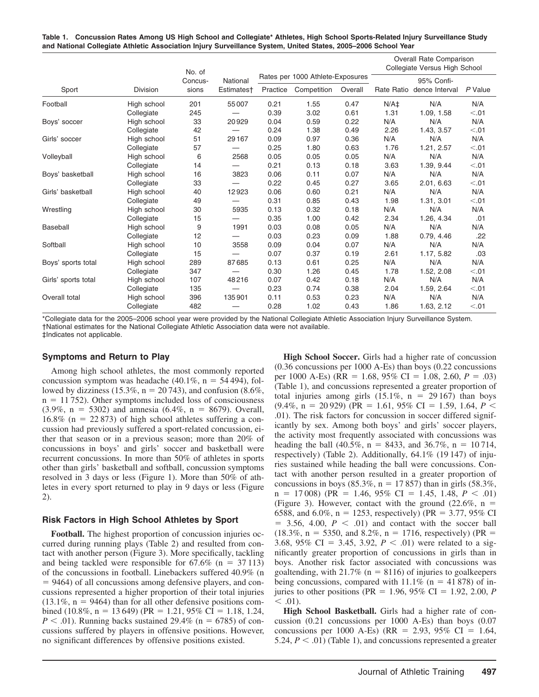**Table 1. Concussion Rates Among US High School and Collegiate\* Athletes, High School Sports-Related Injury Surveillance Study and National Collegiate Athletic Association Injury Surveillance System, United States, 2005–2006 School Year**

|                     |                 | No. of<br>Concus-<br>sions | National<br>Estimates† |                                  |             |         |            | <b>Overall Rate Comparison</b><br>Collegiate Versus High School |         |
|---------------------|-----------------|----------------------------|------------------------|----------------------------------|-------------|---------|------------|-----------------------------------------------------------------|---------|
|                     |                 |                            |                        | Rates per 1000 Athlete-Exposures |             |         | 95% Confi- |                                                                 |         |
| Sport               | <b>Division</b> |                            |                        | Practice                         | Competition | Overall | Rate Ratio | dence Interval                                                  | P Value |
| Football            | High school     | 201                        | 55007                  | 0.21                             | 1.55        | 0.47    | $N/A+$     | N/A                                                             | N/A     |
|                     | Collegiate      | 245                        |                        | 0.39                             | 3.02        | 0.61    | 1.31       | 1.09, 1.58                                                      | < 0.01  |
| Boys' soccer        | High school     | 33                         | 20929                  | 0.04                             | 0.59        | 0.22    | N/A        | N/A                                                             | N/A     |
|                     | Collegiate      | 42                         |                        | 0.24                             | 1.38        | 0.49    | 2.26       | 1.43, 3.57                                                      | < 0.01  |
| Girls' soccer       | High school     | 51                         | 29 167                 | 0.09                             | 0.97        | 0.36    | N/A        | N/A                                                             | N/A     |
|                     | Collegiate      | 57                         |                        | 0.25                             | 1.80        | 0.63    | 1.76       | 1.21, 2.57                                                      | < 0.01  |
| Volleyball          | High school     | 6                          | 2568                   | 0.05                             | 0.05        | 0.05    | N/A        | N/A                                                             | N/A     |
|                     | Collegiate      | 14                         |                        | 0.21                             | 0.13        | 0.18    | 3.63       | 1.39, 9.44                                                      | < 0.01  |
| Boys' basketball    | High school     | 16                         | 3823                   | 0.06                             | 0.11        | 0.07    | N/A        | N/A                                                             | N/A     |
|                     | Collegiate      | 33                         |                        | 0.22                             | 0.45        | 0.27    | 3.65       | 2.01, 6.63                                                      | < 0.01  |
| Girls' basketball   | High school     | 40                         | 12923                  | 0.06                             | 0.60        | 0.21    | N/A        | N/A                                                             | N/A     |
|                     | Collegiate      | 49                         |                        | 0.31                             | 0.85        | 0.43    | 1.98       | 1.31, 3.01                                                      | < 0.01  |
| Wrestling           | High school     | 30                         | 5935                   | 0.13                             | 0.32        | 0.18    | N/A        | N/A                                                             | N/A     |
|                     | Collegiate      | 15                         |                        | 0.35                             | 1.00        | 0.42    | 2.34       | 1.26, 4.34                                                      | .01     |
| Baseball            | High school     | 9                          | 1991                   | 0.03                             | 0.08        | 0.05    | N/A        | N/A                                                             | N/A     |
|                     | Collegiate      | 12                         |                        | 0.03                             | 0.23        | 0.09    | 1.88       | 0.79, 4.46                                                      | .22     |
| Softball            | High school     | 10                         | 3558                   | 0.09                             | 0.04        | 0.07    | N/A        | N/A                                                             | N/A     |
|                     | Collegiate      | 15                         |                        | 0.07                             | 0.37        | 0.19    | 2.61       | 1.17, 5.82                                                      | .03     |
| Boys' sports total  | High school     | 289                        | 87685                  | 0.13                             | 0.61        | 0.25    | N/A        | N/A                                                             | N/A     |
|                     | Collegiate      | 347                        |                        | 0.30                             | 1.26        | 0.45    | 1.78       | 1.52, 2.08                                                      | < 0.01  |
| Girls' sports total | High school     | 107                        | 48216                  | 0.07                             | 0.42        | 0.18    | N/A        | N/A                                                             | N/A     |
|                     | Collegiate      | 135                        |                        | 0.23                             | 0.74        | 0.38    | 2.04       | 1.59, 2.64                                                      | < 0.01  |
| Overall total       | High school     | 396                        | 135901                 | 0.11                             | 0.53        | 0.23    | N/A        | N/A                                                             | N/A     |
|                     | Collegiate      | 482                        |                        | 0.28                             | 1.02        | 0.43    | 1.86       | 1.63, 2.12                                                      | < 0.01  |

\*Collegiate data for the 2005–2006 school year were provided by the National Collegiate Athletic Association Injury Surveillance System. †National estimates for the National Collegiate Athletic Association data were not available. ‡Indicates not applicable.

# **Symptoms and Return to Play**

Among high school athletes, the most commonly reported concussion symptom was headache  $(40.1\%, n = 54494)$ , followed by dizziness (15.3%,  $n = 20743$ ), and confusion (8.6%,  $n = 11752$ ). Other symptoms included loss of consciousness  $(3.9\%, n = 5302)$  and amnesia  $(6.4\%, n = 8679)$ . Overall, 16.8% ( $n = 22873$ ) of high school athletes suffering a concussion had previously suffered a sport-related concussion, either that season or in a previous season; more than 20% of concussions in boys' and girls' soccer and basketball were recurrent concussions. In more than 50% of athletes in sports other than girls' basketball and softball, concussion symptoms resolved in 3 days or less (Figure 1). More than 50% of athletes in every sport returned to play in 9 days or less (Figure 2).

# **Risk Factors in High School Athletes by Sport**

**Football.** The highest proportion of concussion injuries occurred during running plays (Table 2) and resulted from contact with another person (Figure 3). More specifically, tackling and being tackled were responsible for  $67.6\%$  (n = 37 113) of the concussions in football. Linebackers suffered 40.9% (n  $= 9464$ ) of all concussions among defensive players, and concussions represented a higher proportion of their total injuries  $(13.1\%, n = 9464)$  than for all other defensive positions combined  $(10.8\%, n = 13649)$  (PR = 1.21, 95% CI = 1.18, 1.24,  $P < .01$ ). Running backs sustained 29.4% ( $n = 6785$ ) of concussions suffered by players in offensive positions. However, no significant differences by offensive positions existed.

**High School Soccer.** Girls had a higher rate of concussion (0.36 concussions per 1000 A-Es) than boys (0.22 concussions per 1000 A-Es) (RR = 1.68, 95% CI = 1.08, 2.60,  $P = .03$ ) (Table 1), and concussions represented a greater proportion of total injuries among girls  $(15.1\%, n = 29167)$  than boys  $(9.4\%, n = 20929)$  (PR = 1.61, 95% CI = 1.59, 1.64, *P* < .01). The risk factors for concussion in soccer differed significantly by sex. Among both boys' and girls' soccer players, the activity most frequently associated with concussions was heading the ball  $(40.5\%, n = 8433, \text{ and } 36.7\%, n = 10714, \text{)}$ respectively) (Table 2). Additionally, 64.1% (19 147) of injuries sustained while heading the ball were concussions. Contact with another person resulted in a greater proportion of concussions in boys (85.3%,  $n = 17857$ ) than in girls (58.3%,  $n = 17008$  (PR = 1.46, 95% CI = 1.45, 1.48,  $P < .01$ ) (Figure 3). However, contact with the ground  $(22.6\%, n =$ 6588, and 6.0%,  $n = 1253$ , respectively) (PR = 3.77, 95% CI  $= 3.56, 4.00, P < .01$  and contact with the soccer ball  $(18.3\%, n = 5350, \text{ and } 8.2\%, n = 1716, \text{ respectively}) (PR =$ 3.68, 95% CI = 3.45, 3.92,  $P < .01$ ) were related to a significantly greater proportion of concussions in girls than in boys. Another risk factor associated with concussions was goaltending, with  $21.7\%$  (n = 8116) of injuries to goalkeepers being concussions, compared with  $11.1\%$  (n = 41 878) of injuries to other positions (PR =  $1.96, 95\%$  CI =  $1.92, 2.00, P$  $< .01$ ).

**High School Basketball.** Girls had a higher rate of concussion (0.21 concussions per 1000 A-Es) than boys (0.07 concussions per 1000 A-Es) (RR = 2.93, 95% CI = 1.64, 5.24,  $P < .01$ ) (Table 1), and concussions represented a greater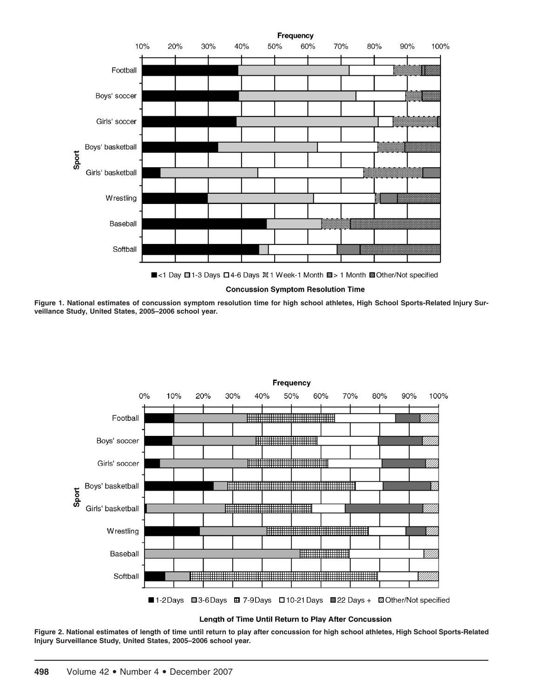

**Concussion Symptom Resolution Time** 

**Figure 1. National estimates of concussion symptom resolution time for high school athletes, High School Sports-Related Injury Surveillance Study, United States, 2005–2006 school year.**



**Figure 2. National estimates of length of time until return to play after concussion for high school athletes, High School Sports-Related Injury Surveillance Study, United States, 2005–2006 school year.**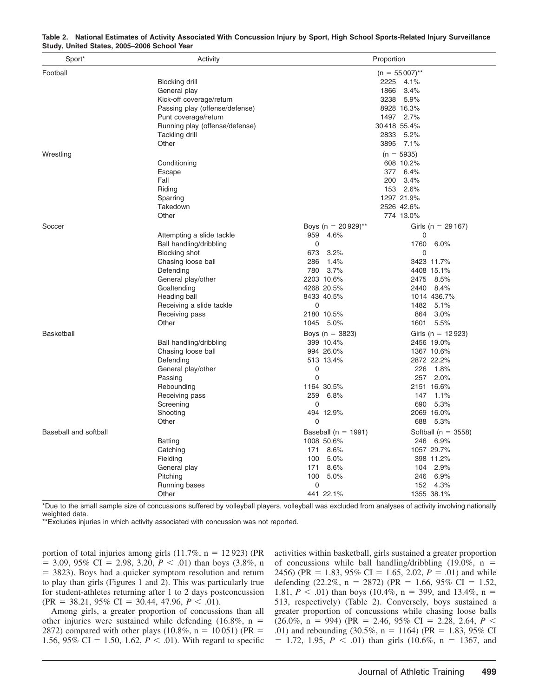| Sport*                | Activity                       |                         | Proportion              |
|-----------------------|--------------------------------|-------------------------|-------------------------|
| Football              |                                |                         | $(n = 55007)$ **        |
|                       | <b>Blocking drill</b>          |                         | 2225 4.1%               |
|                       | General play                   |                         | 1866<br>3.4%            |
|                       | Kick-off coverage/return       |                         | 3238<br>$5.9\%$         |
|                       | Passing play (offense/defense) |                         | 8928 16.3%              |
|                       | Punt coverage/return           |                         | 1497 2.7%               |
|                       | Running play (offense/defense) |                         | 30418 55.4%             |
|                       | Tackling drill                 |                         | 2833 5.2%               |
|                       | Other                          |                         | 3895 7.1%               |
| Wrestling             |                                |                         | $(n = 5935)$            |
|                       | Conditioning                   |                         | 608 10.2%               |
|                       | Escape                         |                         | 377 6.4%                |
|                       | Fall                           |                         | 200<br>3.4%             |
|                       | Riding                         |                         | 153 2.6%                |
|                       | Sparring                       |                         | 1297 21.9%              |
|                       | Takedown                       |                         | 2526 42.6%              |
|                       | Other                          |                         | 774 13.0%               |
| Soccer                |                                | Boys (n = $20929$ )**   | Girls (n = 29 167)      |
|                       | Attempting a slide tackle      | 959<br>4.6%             | 0                       |
|                       | Ball handling/dribbling        | $\mathbf 0$             | 1760<br>$6.0\%$         |
|                       | <b>Blocking shot</b>           | 673<br>3.2%             | $\mathbf 0$             |
|                       | Chasing loose ball             | 286<br>1.4%             | 3423 11.7%              |
|                       | Defending                      | 780 3.7%                | 4408 15.1%              |
|                       | General play/other             | 2203 10.6%              | 2475 8.5%               |
|                       | Goaltending                    | 4268 20.5%              | 2440 8.4%               |
|                       | Heading ball                   | 8433 40.5%              | 1014 436.7%             |
|                       | Receiving a slide tackle       | $\mathbf 0$             | 1482 5.1%               |
|                       | Receiving pass                 | 2180 10.5%              | 864<br>3.0%             |
|                       | Other                          | 1045 5.0%               | 1601 5.5%               |
|                       |                                |                         |                         |
| <b>Basketball</b>     |                                | Boys ( $n = 3823$ )     | Girls (n = $12923$ )    |
|                       | Ball handling/dribbling        | 399 10.4%               | 2456 19.0%              |
|                       | Chasing loose ball             | 994 26.0%               | 1367 10.6%              |
|                       | Defending                      | 513 13.4%               | 2872 22.2%              |
|                       | General play/other             | 0                       | 226 1.8%                |
|                       | Passing                        | $\mathbf 0$             | 257 2.0%                |
|                       | Rebounding                     | 1164 30.5%              | 2151 16.6%              |
|                       | Receiving pass                 | 259 6.8%                | 147 1.1%                |
|                       | Screening                      | 0                       | 690<br>5.3%             |
|                       | Shooting                       | 494 12.9%               | 2069 16.0%              |
|                       | Other                          | 0                       | 688 5.3%                |
| Baseball and softball |                                | Baseball ( $n = 1991$ ) | Softball ( $n = 3558$ ) |
|                       | <b>Batting</b>                 | 1008 50.6%              | 246 6.9%                |
|                       | Catching                       | 171 8.6%                | 1057 29.7%              |
|                       | Fielding                       | 100 5.0%                | 398 11.2%               |
|                       | General play                   | 8.6%<br>171             | 104 2.9%                |
|                       | Pitching                       | 100<br>5.0%             | 6.9%<br>246             |
|                       | Running bases                  | 0                       | 152 4.3%                |
|                       | Other                          | 441 22.1%               | 1355 38.1%              |

| Table 2. National Estimates of Activity Associated With Concussion Injury by Sport, High School Sports-Related Injury Surveillance |  |  |  |
|------------------------------------------------------------------------------------------------------------------------------------|--|--|--|
| Study, United States, 2005-2006 School Year                                                                                        |  |  |  |

\*Due to the small sample size of concussions suffered by volleyball players, volleyball was excluded from analyses of activity involving nationally weighted data.

\*\*Excludes injuries in which activity associated with concussion was not reported.

portion of total injuries among girls  $(11.7\%, n = 12923)$  (PR  $= 3.09, 95\% \text{ CI} = 2.98, 3.20, P < .01)$  than boys (3.8%, n  $=$  3823). Boys had a quicker symptom resolution and return to play than girls (Figures 1 and 2). This was particularly true for student-athletes returning after 1 to 2 days postconcussion  $(\text{PR} = 38.21, 95\% \text{ CI} = 30.44, 47.96, P < .01).$ 

Among girls, a greater proportion of concussions than all other injuries were sustained while defending  $(16.8\%, n =$ 2872) compared with other plays  $(10.8\%, n = 10051)$  (PR = 1.56, 95% CI = 1.50, 1.62,  $P < .01$ ). With regard to specific activities within basketball, girls sustained a greater proportion of concussions while ball handling/dribbling  $(19.0\% , n =$ 2456) (PR = 1.83, 95% CI = 1.65, 2.02,  $P = .01$ ) and while defending  $(22.2\%, n = 2872)$  (PR = 1.66, 95% CI = 1.52, 1.81,  $P < .01$ ) than boys (10.4%, n = 399, and 13.4%, n = 513, respectively) (Table 2). Conversely, boys sustained a greater proportion of concussions while chasing loose balls  $(26.0\%, n = 994)$  (PR = 2.46, 95% CI = 2.28, 2.64, *P* < .01) and rebounding  $(30.5\%, n = 1164)$  (PR = 1.83, 95% CI)  $= 1.72, 1.95, P < .01$ ) than girls (10.6%, n = 1367, and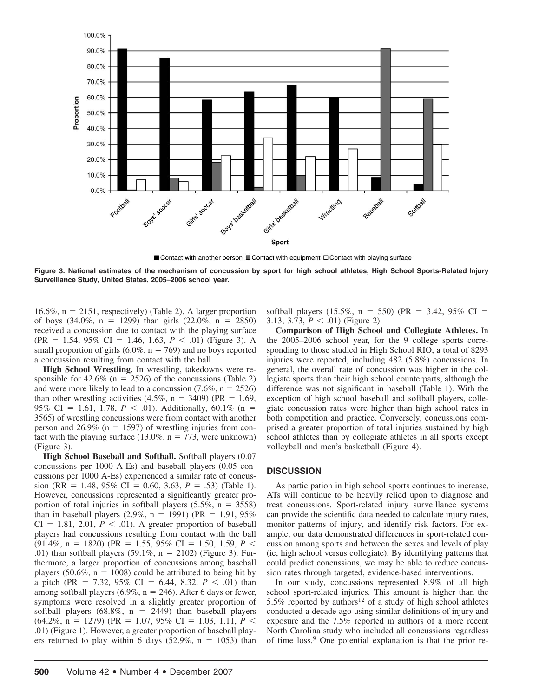

■ Contact with another person ■ Contact with equipment □ Contact with playing surface

**Figure 3. National estimates of the mechanism of concussion by sport for high school athletes, High School Sports-Related Injury Surveillance Study, United States, 2005–2006 school year.**

 $16.6\%$ ,  $n = 2151$ , respectively) (Table 2). A larger proportion of boys  $(34.0\%, n = 1299)$  than girls  $(22.0\%, n = 2850)$ received a concussion due to contact with the playing surface  $(PR = 1.54, 95\% \text{ CI} = 1.46, 1.63, P < .01)$  (Figure 3). A small proportion of girls  $(6.0\%, n = 769)$  and no boys reported a concussion resulting from contact with the ball.

**High School Wrestling.** In wrestling, takedowns were responsible for  $42.6\%$  (n = 2526) of the concussions (Table 2) and were more likely to lead to a concussion  $(7.6\%, n = 2526)$ than other wrestling activities  $(4.5\%, n = 3409)$  (PR = 1.69, 95% CI = 1.61, 1.78,  $P < .01$ ). Additionally, 60.1% (n = 3565) of wrestling concussions were from contact with another person and  $26.9\%$  (n = 1597) of wrestling injuries from contact with the playing surface  $(13.0\%, n = 773, \text{ were unknown})$ (Figure 3).

**High School Baseball and Softball.** Softball players (0.07 concussions per 1000 A-Es) and baseball players (0.05 concussions per 1000 A-Es) experienced a similar rate of concussion (RR = 1.48, 95% CI = 0.60, 3.63,  $P = .53$ ) (Table 1). However, concussions represented a significantly greater proportion of total injuries in softball players  $(5.5\%, n = 3558)$ than in baseball players  $(2.9\%, n = 1991)$  (PR = 1.91, 95%)  $CI = 1.81, 2.01, P < .01$ . A greater proportion of baseball players had concussions resulting from contact with the ball  $(91.4\%, n = 1820)$  (PR = 1.55, 95% CI = 1.50, 1.59, *P* < .01) than softball players  $(59.1\%, n = 2102)$  (Figure 3). Furthermore, a larger proportion of concussions among baseball players  $(50.6\%, n = 1008)$  could be attributed to being hit by a pitch (PR = 7.32, 95% CI = 6.44, 8.32,  $P < .01$ ) than among softball players  $(6.9\%, n = 246)$ . After 6 days or fewer, symptoms were resolved in a slightly greater proportion of softball players  $(68.8\%, n = 2449)$  than baseball players  $(64.2\%, n = 1279)$  (PR = 1.07, 95% CI = 1.03, 1.11, *P* < .01) (Figure 1). However, a greater proportion of baseball players returned to play within 6 days  $(52.9\%, n = 1053)$  than

softball players (15.5%,  $n = 550$ ) (PR = 3.42, 95% CI = 3.13, 3.73,  $P < .01$ ) (Figure 2).

**Comparison of High School and Collegiate Athletes.** In the 2005–2006 school year, for the 9 college sports corresponding to those studied in High School RIO, a total of 8293 injuries were reported, including 482 (5.8%) concussions. In general, the overall rate of concussion was higher in the collegiate sports than their high school counterparts, although the difference was not significant in baseball (Table 1). With the exception of high school baseball and softball players, collegiate concussion rates were higher than high school rates in both competition and practice. Conversely, concussions comprised a greater proportion of total injuries sustained by high school athletes than by collegiate athletes in all sports except volleyball and men's basketball (Figure 4).

#### **DISCUSSION**

As participation in high school sports continues to increase, ATs will continue to be heavily relied upon to diagnose and treat concussions. Sport-related injury surveillance systems can provide the scientific data needed to calculate injury rates, monitor patterns of injury, and identify risk factors. For example, our data demonstrated differences in sport-related concussion among sports and between the sexes and levels of play (ie, high school versus collegiate). By identifying patterns that could predict concussions, we may be able to reduce concussion rates through targeted, evidence-based interventions.

In our study, concussions represented 8.9% of all high school sport-related injuries. This amount is higher than the 5.5% reported by authors<sup>12</sup> of a study of high school athletes conducted a decade ago using similar definitions of injury and exposure and the 7.5% reported in authors of a more recent North Carolina study who included all concussions regardless of time loss.9 One potential explanation is that the prior re-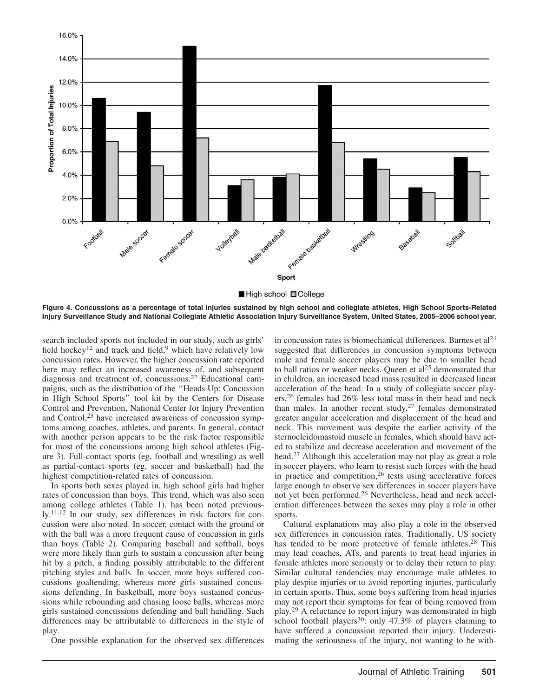

**Figure 4. Concussions as a percentage of total injuries sustained by high school and collegiate athletes, High School Sports-Related Injury Surveillance Study and National Collegiate Athletic Association Injury Surveillance System, United States, 2005–2006 school year.**

search included sports not included in our study, such as girls' field hockey<sup>12</sup> and track and field,<sup>9</sup> which have relatively low concussion rates. However, the higher concussion rate reported here may reflect an increased awareness of, and subsequent diagnosis and treatment of, concussions.22 Educational campaigns, such as the distribution of the ''Heads Up: Concussion in High School Sports'' tool kit by the Centers for Disease Control and Prevention, National Center for Injury Prevention and Control,<sup>23</sup> have increased awareness of concussion symptoms among coaches, athletes, and parents. In general, contact with another person appears to be the risk factor responsible for most of the concussions among high school athletes (Figure 3). Full-contact sports (eg, football and wrestling) as well as partial-contact sports (eg, soccer and basketball) had the highest competition-related rates of concussion.

In sports both sexes played in, high school girls had higher rates of concussion than boys. This trend, which was also seen among college athletes (Table 1), has been noted previously.11,12 In our study, sex differences in risk factors for concussion were also noted. In soccer, contact with the ground or with the ball was a more frequent cause of concussion in girls than boys (Table 2). Comparing baseball and softball, boys were more likely than girls to sustain a concussion after being hit by a pitch, a finding possibly attributable to the different pitching styles and balls. In soccer, more boys suffered concussions goaltending, whereas more girls sustained concussions defending. In basketball, more boys sustained concussions while rebounding and chasing loose balls, whereas more girls sustained concussions defending and ball handling. Such differences may be attributable to differences in the style of play.

One possible explanation for the observed sex differences

in concussion rates is biomechanical differences. Barnes et  $al<sup>24</sup>$ suggested that differences in concussion symptoms between male and female soccer players may be due to smaller head to ball ratios or weaker necks. Oueen et  $al<sup>25</sup>$  demonstrated that in children, an increased head mass resulted in decreased linear acceleration of the head. In a study of collegiate soccer players,26 females had 26% less total mass in their head and neck than males. In another recent study,<sup>27</sup> females demonstrated greater angular acceleration and displacement of the head and neck. This movement was despite the earlier activity of the sternocleidomastoid muscle in females, which should have acted to stabilize and decrease acceleration and movement of the head.27 Although this acceleration may not play as great a role in soccer players, who learn to resist such forces with the head in practice and competition,  $26$  tests using accelerative forces large enough to observe sex differences in soccer players have not yet been performed.26 Nevertheless, head and neck acceleration differences between the sexes may play a role in other sports.

Cultural explanations may also play a role in the observed sex differences in concussion rates. Traditionally, US society has tended to be more protective of female athletes.<sup>28</sup> This may lead coaches, ATs, and parents to treat head injuries in female athletes more seriously or to delay their return to play. Similar cultural tendencies may encourage male athletes to play despite injuries or to avoid reporting injuries, particularly in certain sports. Thus, some boys suffering from head injuries may not report their symptoms for fear of being removed from play.29 A reluctance to report injury was demonstrated in high school football players<sup>30</sup>: only  $47.3\%$  of players claiming to have suffered a concussion reported their injury. Underestimating the seriousness of the injury, not wanting to be with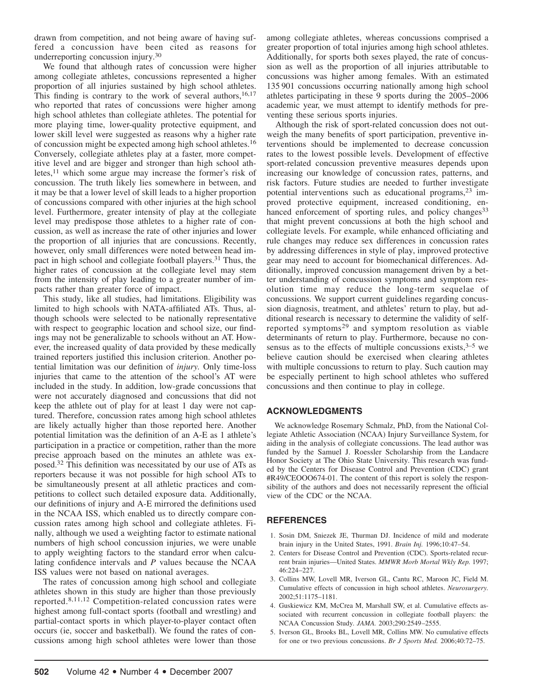drawn from competition, and not being aware of having suffered a concussion have been cited as reasons for underreporting concussion injury.30

We found that although rates of concussion were higher among collegiate athletes, concussions represented a higher proportion of all injuries sustained by high school athletes. This finding is contrary to the work of several authors,  $16,17$ who reported that rates of concussions were higher among high school athletes than collegiate athletes. The potential for more playing time, lower-quality protective equipment, and lower skill level were suggested as reasons why a higher rate of concussion might be expected among high school athletes.16 Conversely, collegiate athletes play at a faster, more competitive level and are bigger and stronger than high school athletes,11 which some argue may increase the former's risk of concussion. The truth likely lies somewhere in between, and it may be that a lower level of skill leads to a higher proportion of concussions compared with other injuries at the high school level. Furthermore, greater intensity of play at the collegiate level may predispose those athletes to a higher rate of concussion, as well as increase the rate of other injuries and lower the proportion of all injuries that are concussions. Recently, however, only small differences were noted between head impact in high school and collegiate football players.<sup>31</sup> Thus, the higher rates of concussion at the collegiate level may stem from the intensity of play leading to a greater number of impacts rather than greater force of impact.

This study, like all studies, had limitations. Eligibility was limited to high schools with NATA-affiliated ATs. Thus, although schools were selected to be nationally representative with respect to geographic location and school size, our findings may not be generalizable to schools without an AT. However, the increased quality of data provided by these medically trained reporters justified this inclusion criterion. Another potential limitation was our definition of *injury.* Only time-loss injuries that came to the attention of the school's AT were included in the study. In addition, low-grade concussions that were not accurately diagnosed and concussions that did not keep the athlete out of play for at least 1 day were not captured. Therefore, concussion rates among high school athletes are likely actually higher than those reported here. Another potential limitation was the definition of an A-E as 1 athlete's participation in a practice or competition, rather than the more precise approach based on the minutes an athlete was exposed.32 This definition was necessitated by our use of ATs as reporters because it was not possible for high school ATs to be simultaneously present at all athletic practices and competitions to collect such detailed exposure data. Additionally, our definitions of injury and A-E mirrored the definitions used in the NCAA ISS, which enabled us to directly compare concussion rates among high school and collegiate athletes. Finally, although we used a weighting factor to estimate national numbers of high school concussion injuries, we were unable to apply weighting factors to the standard error when calculating confidence intervals and *P* values because the NCAA ISS values were not based on national averages.

The rates of concussion among high school and collegiate athletes shown in this study are higher than those previously reported.8,11,12 Competition-related concussion rates were highest among full-contact sports (football and wrestling) and partial-contact sports in which player-to-player contact often occurs (ie, soccer and basketball). We found the rates of concussions among high school athletes were lower than those

among collegiate athletes, whereas concussions comprised a greater proportion of total injuries among high school athletes. Additionally, for sports both sexes played, the rate of concussion as well as the proportion of all injuries attributable to concussions was higher among females. With an estimated 135 901 concussions occurring nationally among high school athletes participating in these 9 sports during the 2005–2006 academic year, we must attempt to identify methods for preventing these serious sports injuries.

Although the risk of sport-related concussion does not outweigh the many benefits of sport participation, preventive interventions should be implemented to decrease concussion rates to the lowest possible levels. Development of effective sport-related concussion preventive measures depends upon increasing our knowledge of concussion rates, patterns, and risk factors. Future studies are needed to further investigate potential interventions such as educational programs,23 improved protective equipment, increased conditioning, enhanced enforcement of sporting rules, and policy changes<sup>33</sup> that might prevent concussions at both the high school and collegiate levels. For example, while enhanced officiating and rule changes may reduce sex differences in concussion rates by addressing differences in style of play, improved protective gear may need to account for biomechanical differences. Additionally, improved concussion management driven by a better understanding of concussion symptoms and symptom resolution time may reduce the long-term sequelae of concussions. We support current guidelines regarding concussion diagnosis, treatment, and athletes' return to play, but additional research is necessary to determine the validity of selfreported symptoms<sup>29</sup> and symptom resolution as viable determinants of return to play. Furthermore, because no consensus as to the effects of multiple concussions exists, $3-5$  we believe caution should be exercised when clearing athletes with multiple concussions to return to play. Such caution may be especially pertinent to high school athletes who suffered concussions and then continue to play in college.

# **ACKNOWLEDGMENTS**

We acknowledge Rosemary Schmalz, PhD, from the National Collegiate Athletic Association (NCAA) Injury Surveillance System, for aiding in the analysis of collegiate concussions. The lead author was funded by the Samuel J. Roessler Scholarship from the Landacre Honor Society at The Ohio State University. This research was funded by the Centers for Disease Control and Prevention (CDC) grant #R49/CEOOO674-01. The content of this report is solely the responsibility of the authors and does not necessarily represent the official view of the CDC or the NCAA.

# **REFERENCES**

- 1. Sosin DM, Sniezek JE, Thurman DJ. Incidence of mild and moderate brain injury in the United States, 1991. *Brain Inj.* 1996;10:47–54.
- 2. Centers for Disease Control and Prevention (CDC). Sports-related recurrent brain injuries—United States. *MMWR Morb Mortal Wkly Rep.* 1997; 46:224–227.
- 3. Collins MW, Lovell MR, Iverson GL, Cantu RC, Maroon JC, Field M. Cumulative effects of concussion in high school athletes. *Neurosurgery.* 2002;51:1175–1181.
- 4. Guskiewicz KM, McCrea M, Marshall SW, et al. Cumulative effects associated with recurrent concussion in collegiate football players: the NCAA Concussion Study. *JAMA.* 2003;290:2549–2555.
- 5. Iverson GL, Brooks BL, Lovell MR, Collins MW. No cumulative effects for one or two previous concussions. *Br J Sports Med.* 2006;40:72–75.